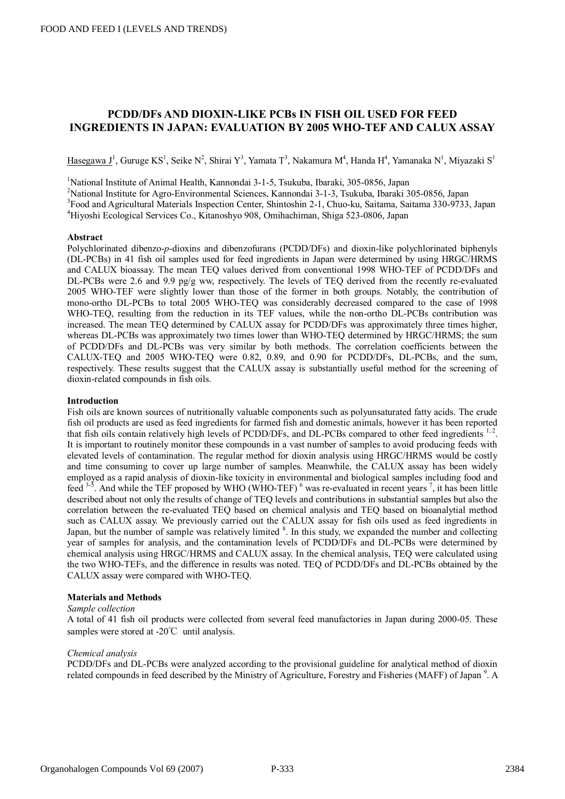# **PCDD/DFs AND DIOXIN-LIKE PCBs IN FISH OIL USED FOR FEED INGREDIENTS IN JAPAN: EVALUATION BY 2005 WHO-TEF AND CALUX ASSAY**

Hasegawa J<sup>1</sup>, Guruge KS<sup>1</sup>, Seike N<sup>2</sup>, Shirai Y<sup>3</sup>, Yamata T<sup>3</sup>, Nakamura M<sup>4</sup>, Handa H<sup>4</sup>, Yamanaka N<sup>1</sup>, Miyazaki S<sup>1</sup>

<sup>1</sup>National Institute of Animal Health, Kannondai 3-1-5, Tsukuba, Ibaraki, 305-0856, Japan

<sup>2</sup>National Institute for Agro-Environmental Sciences, Kannondai 3-1-3, Tsukuba, Ibaraki 305-0856, Japan

<sup>3</sup>Food and Agricultural Materials Inspection Center, Shintoshin 2-1, Chuo-ku, Saitama, Saitama 330-9733, Japan

<sup>4</sup>Hiyoshi Ecological Services Co., Kitanoshyo 908, Omihachiman, Shiga 523-0806, Japan

### **Abstract**

Polychlorinated dibenzo-*p*-dioxins and dibenzofurans (PCDD/DFs) and dioxin-like polychlorinated biphenyls (DL-PCBs) in 41 fish oil samples used for feed ingredients in Japan were determined by using HRGC/HRMS and CALUX bioassay. The mean TEQ values derived from conventional 1998 WHO-TEF of PCDD/DFs and DL-PCBs were 2.6 and 9.9 pg/g ww, respectively. The levels of TEQ derived from the recently re-evaluated 2005 WHO-TEF were slightly lower than those of the former in both groups. Notably, the contribution of mono-ortho DL-PCBs to total 2005 WHO-TEQ was considerably decreased compared to the case of 1998 WHO-TEQ, resulting from the reduction in its TEF values, while the non-ortho DL-PCBs contribution was increased. The mean TEQ determined by CALUX assay for PCDD/DFs was approximately three times higher, whereas DL-PCBs was approximately two times lower than WHO-TEQ determined by HRGC/HRMS; the sum of PCDD/DFs and DL-PCBs was very similar by both methods. The correlation coefficients between the CALUX-TEQ and 2005 WHO-TEQ were 0.82, 0.89, and 0.90 for PCDD/DFs, DL-PCBs, and the sum, respectively. These results suggest that the CALUX assay is substantially useful method for the screening of dioxin-related compounds in fish oils.

# **Introduction**

Fish oils are known sources of nutritionally valuable components such as polyunsaturated fatty acids. The crude fish oil products are used as feed ingredients for farmed fish and domestic animals, however it has been reported that fish oils contain relatively high levels of PCDD/DFs, and DL-PCBs compared to other feed ingredients <sup>1,2</sup>. It is important to routinely monitor these compounds in a vast number of samples to avoid producing feeds with elevated levels of contamination. The regular method for dioxin analysis using HRGC/HRMS would be costly and time consuming to cover up large number of samples. Meanwhile, the CALUX assay has been widely employed as a rapid analysis of dioxin-like toxicity in environmental and biological samples including food and feed  $3-3$ . And while the TEF proposed by WHO (WHO-TEF)  $^6$  was re-evaluated in recent years  $^7$ , it has been little described about not only the results of change of TEQ levels and contributions in substantial samples but also the correlation between the re-evaluated TEQ based on chemical analysis and TEQ based on bioanalytial method such as CALUX assay. We previously carried out the CALUX assay for fish oils used as feed ingredients in Japan, but the number of sample was relatively limited <sup>8</sup>. In this study, we expanded the number and collecting year of samples for analysis, and the contamination levels of PCDD/DFs and DL-PCBs were determined by chemical analysis using HRGC/HRMS and CALUX assay. In the chemical analysis, TEQ were calculated using the two WHO-TEFs, and the difference in results was noted. TEQ of PCDD/DFs and DL-PCBs obtained by the CALUX assay were compared with WHO-TEQ.

# **Materials and Methods**

# *Sample collection*

A total of 41 fish oil products were collected from several feed manufactories in Japan during 2000-05. These samples were stored at -20℃ until analysis.

## *Chemical analysis*

PCDD/DFs and DL-PCBs were analyzed according to the provisional guideline for analytical method of dioxin related compounds in feed described by the Ministry of Agriculture, Forestry and Fisheries (MAFF) of Japan<sup>9</sup>. A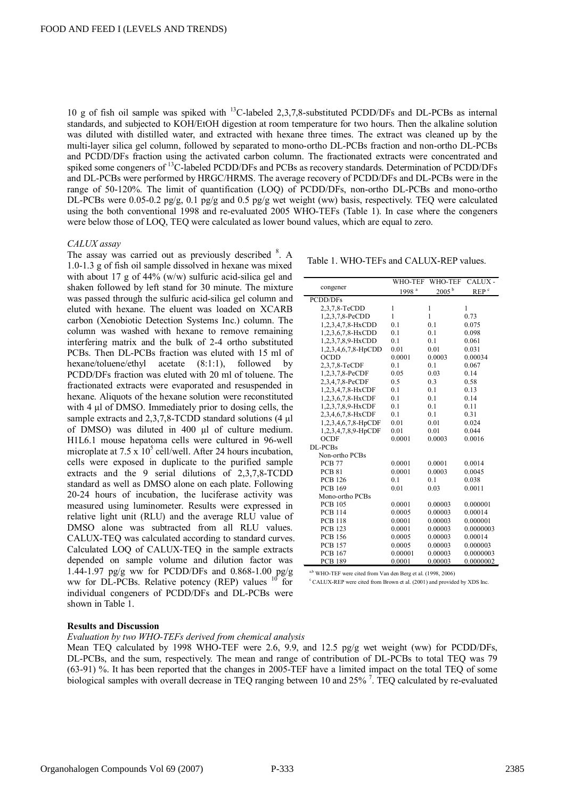10 g of fish oil sample was spiked with <sup>13</sup>C-labeled 2,3,7,8-substituted PCDD/DFs and DL-PCBs as internal standards, and subjected to KOH/EtOH digestion at room temperature for two hours. Then the alkaline solution was diluted with distilled water, and extracted with hexane three times. The extract was cleaned up by the multi-layer silica gel column, followed by separated to mono-ortho DL-PCBs fraction and non-ortho DL-PCBs and PCDD/DFs fraction using the activated carbon column. The fractionated extracts were concentrated and spiked some congeners of <sup>13</sup>C-labeled PCDD/DFs and PCBs as recovery standards. Determination of PCDD/DFs and DL-PCBs were performed by HRGC/HRMS. The average recovery of PCDD/DFs and DL-PCBs were in the range of 50-120%. The limit of quantification (LOQ) of PCDD/DFs, non-ortho DL-PCBs and mono-ortho DL-PCBs were 0.05-0.2 pg/g, 0.1 pg/g and 0.5 pg/g wet weight (ww) basis, respectively. TEQ were calculated using the both conventional 1998 and re-evaluated 2005 WHO-TEFs (Table 1). In case where the congeners were below those of LOQ, TEQ were calculated as lower bound values, which are equal to zero.

# *CALUX assay*

The assay was carried out as previously described <sup>8</sup>. A 1.0-1.3 g of fish oil sample dissolved in hexane was mixed with about 17 g of 44% (w/w) sulfuric acid-silica gel and shaken followed by left stand for 30 minute. The mixture was passed through the sulfuric acid-silica gel column and eluted with hexane. The eluent was loaded on XCARB carbon (Xenobiotic Detection Systems Inc.) column. The column was washed with hexane to remove remaining interfering matrix and the bulk of 2-4 ortho substituted PCBs. Then DL-PCBs fraction was eluted with 15 ml of hexane/toluene/ethyl acetate (8:1:1), followed by PCDD/DFs fraction was eluted with 20 ml of toluene. The fractionated extracts were evaporated and resuspended in hexane. Aliquots of the hexane solution were reconstituted with 4 μl of DMSO. Immediately prior to dosing cells, the sample extracts and 2,3,7,8-TCDD standard solutions (4 μl of DMSO) was diluted in 400 μl of culture medium. H1L6.1 mouse hepatoma cells were cultured in 96-well microplate at  $7.5 \times 10^5$  cell/well. After 24 hours incubation, cells were exposed in duplicate to the purified sample extracts and the 9 serial dilutions of 2,3,7,8-TCDD standard as well as DMSO alone on each plate. Following 20-24 hours of incubation, the luciferase activity was measured using luminometer. Results were expressed in relative light unit (RLU) and the average RLU value of DMSO alone was subtracted from all RLU values. CALUX-TEQ was calculated according to standard curves. Calculated LOQ of CALUX-TEQ in the sample extracts depended on sample volume and dilution factor was 1.44-1.97 pg/g ww for PCDD/DFs and 0.868-1.00 pg/g ww for DL-PCBs. Relative potency (REP) values  $10$  for individual congeners of PCDD/DFs and DL-PCBs were shown in Table 1.

Table 1. WHO-TEFs and CALUX-REP values.

| WHO-TEF<br>WHO-TEF<br>CALUX-<br>congener<br>$2005^{\mathrm{b}}$<br>1998 <sup>a</sup><br>REP <sup>c</sup><br>PCDD/DFs<br>2,3,7,8-TeCDD<br>1<br>1<br>1<br>1<br>1<br>1,2,3,7,8-PeCDD<br>0.73<br>1,2,3,4,7,8-HxCDD<br>0.1<br>0.1<br>0.075<br>1,2,3,6,7,8-HxCDD<br>0.1<br>0.1<br>0.098<br>1,2,3,7,8,9-HxCDD<br>0.1<br>0.1<br>0.061<br>1,2,3,4,6,7,8-HpCDD<br>0.01<br>0.01<br>0.031<br><b>OCDD</b><br>0.0001<br>0.0003<br>0.00034<br>2,3,7,8-TeCDF<br>0.1<br>0.1<br>0.067<br>1,2,3,7,8-PeCDF<br>0.05<br>0.03<br>0.14<br>2,3,4,7,8-PeCDF<br>0.3<br>0.5<br>0.58<br>1,2,3,4,7,8-HxCDF<br>0.1<br>0.1<br>0.13<br>1,2,3,6,7,8-HxCDF<br>0.1<br>0.1<br>0.14<br>1,2,3,7,8,9-HxCDF<br>0.1<br>0.1<br>0.11<br>2,3,4,6,7,8-HxCDF<br>0.31<br>0.1<br>0.1<br>1,2,3,4,6,7,8-HpCDF<br>0.01<br>0.01<br>0.024<br>1,2,3,4,7,8,9-HpCDF<br>0.01<br>0.044<br>0.01<br>0.0001<br>0.0003<br>0.0016<br><b>OCDF</b><br>DL-PCBs<br>Non-ortho PCBs<br><b>PCB 77</b><br>0.0001<br>0.0001<br>0.0014<br>0.0001<br>0.0003<br><b>PCB 81</b><br>0.0045<br><b>PCB 126</b><br>0.1<br>0.1<br>0.038<br><b>PCB 169</b><br>0.0011<br>0.01<br>0.03<br>Mono-ortho PCBs<br><b>PCB 105</b><br>0.0001<br>0.00003<br>0.000001<br>0.00014<br><b>PCB 114</b><br>0.0005<br>0.00003<br>0.000001<br><b>PCB 118</b><br>0.0001<br>0.00003<br><b>PCB 123</b><br>0.0001<br>0.00003<br>0.0000003<br><b>PCB 156</b><br>0.00003<br>0.00014<br>0.0005<br><b>PCB 157</b><br>0.0005<br>0.00003<br>0.000003<br>0.00003<br>0.0000003<br><b>PCB 167</b><br>0.00001<br><b>PCB 189</b><br>0.0001<br>0.00003<br>0.0000002 |  |  |  |
|-----------------------------------------------------------------------------------------------------------------------------------------------------------------------------------------------------------------------------------------------------------------------------------------------------------------------------------------------------------------------------------------------------------------------------------------------------------------------------------------------------------------------------------------------------------------------------------------------------------------------------------------------------------------------------------------------------------------------------------------------------------------------------------------------------------------------------------------------------------------------------------------------------------------------------------------------------------------------------------------------------------------------------------------------------------------------------------------------------------------------------------------------------------------------------------------------------------------------------------------------------------------------------------------------------------------------------------------------------------------------------------------------------------------------------------------------------------------------------------------------------------------------------------------------|--|--|--|
|                                                                                                                                                                                                                                                                                                                                                                                                                                                                                                                                                                                                                                                                                                                                                                                                                                                                                                                                                                                                                                                                                                                                                                                                                                                                                                                                                                                                                                                                                                                                               |  |  |  |
|                                                                                                                                                                                                                                                                                                                                                                                                                                                                                                                                                                                                                                                                                                                                                                                                                                                                                                                                                                                                                                                                                                                                                                                                                                                                                                                                                                                                                                                                                                                                               |  |  |  |
|                                                                                                                                                                                                                                                                                                                                                                                                                                                                                                                                                                                                                                                                                                                                                                                                                                                                                                                                                                                                                                                                                                                                                                                                                                                                                                                                                                                                                                                                                                                                               |  |  |  |
|                                                                                                                                                                                                                                                                                                                                                                                                                                                                                                                                                                                                                                                                                                                                                                                                                                                                                                                                                                                                                                                                                                                                                                                                                                                                                                                                                                                                                                                                                                                                               |  |  |  |
|                                                                                                                                                                                                                                                                                                                                                                                                                                                                                                                                                                                                                                                                                                                                                                                                                                                                                                                                                                                                                                                                                                                                                                                                                                                                                                                                                                                                                                                                                                                                               |  |  |  |
|                                                                                                                                                                                                                                                                                                                                                                                                                                                                                                                                                                                                                                                                                                                                                                                                                                                                                                                                                                                                                                                                                                                                                                                                                                                                                                                                                                                                                                                                                                                                               |  |  |  |
|                                                                                                                                                                                                                                                                                                                                                                                                                                                                                                                                                                                                                                                                                                                                                                                                                                                                                                                                                                                                                                                                                                                                                                                                                                                                                                                                                                                                                                                                                                                                               |  |  |  |
|                                                                                                                                                                                                                                                                                                                                                                                                                                                                                                                                                                                                                                                                                                                                                                                                                                                                                                                                                                                                                                                                                                                                                                                                                                                                                                                                                                                                                                                                                                                                               |  |  |  |
|                                                                                                                                                                                                                                                                                                                                                                                                                                                                                                                                                                                                                                                                                                                                                                                                                                                                                                                                                                                                                                                                                                                                                                                                                                                                                                                                                                                                                                                                                                                                               |  |  |  |
|                                                                                                                                                                                                                                                                                                                                                                                                                                                                                                                                                                                                                                                                                                                                                                                                                                                                                                                                                                                                                                                                                                                                                                                                                                                                                                                                                                                                                                                                                                                                               |  |  |  |
|                                                                                                                                                                                                                                                                                                                                                                                                                                                                                                                                                                                                                                                                                                                                                                                                                                                                                                                                                                                                                                                                                                                                                                                                                                                                                                                                                                                                                                                                                                                                               |  |  |  |
|                                                                                                                                                                                                                                                                                                                                                                                                                                                                                                                                                                                                                                                                                                                                                                                                                                                                                                                                                                                                                                                                                                                                                                                                                                                                                                                                                                                                                                                                                                                                               |  |  |  |
|                                                                                                                                                                                                                                                                                                                                                                                                                                                                                                                                                                                                                                                                                                                                                                                                                                                                                                                                                                                                                                                                                                                                                                                                                                                                                                                                                                                                                                                                                                                                               |  |  |  |
|                                                                                                                                                                                                                                                                                                                                                                                                                                                                                                                                                                                                                                                                                                                                                                                                                                                                                                                                                                                                                                                                                                                                                                                                                                                                                                                                                                                                                                                                                                                                               |  |  |  |
|                                                                                                                                                                                                                                                                                                                                                                                                                                                                                                                                                                                                                                                                                                                                                                                                                                                                                                                                                                                                                                                                                                                                                                                                                                                                                                                                                                                                                                                                                                                                               |  |  |  |
|                                                                                                                                                                                                                                                                                                                                                                                                                                                                                                                                                                                                                                                                                                                                                                                                                                                                                                                                                                                                                                                                                                                                                                                                                                                                                                                                                                                                                                                                                                                                               |  |  |  |
|                                                                                                                                                                                                                                                                                                                                                                                                                                                                                                                                                                                                                                                                                                                                                                                                                                                                                                                                                                                                                                                                                                                                                                                                                                                                                                                                                                                                                                                                                                                                               |  |  |  |
|                                                                                                                                                                                                                                                                                                                                                                                                                                                                                                                                                                                                                                                                                                                                                                                                                                                                                                                                                                                                                                                                                                                                                                                                                                                                                                                                                                                                                                                                                                                                               |  |  |  |
|                                                                                                                                                                                                                                                                                                                                                                                                                                                                                                                                                                                                                                                                                                                                                                                                                                                                                                                                                                                                                                                                                                                                                                                                                                                                                                                                                                                                                                                                                                                                               |  |  |  |
|                                                                                                                                                                                                                                                                                                                                                                                                                                                                                                                                                                                                                                                                                                                                                                                                                                                                                                                                                                                                                                                                                                                                                                                                                                                                                                                                                                                                                                                                                                                                               |  |  |  |
|                                                                                                                                                                                                                                                                                                                                                                                                                                                                                                                                                                                                                                                                                                                                                                                                                                                                                                                                                                                                                                                                                                                                                                                                                                                                                                                                                                                                                                                                                                                                               |  |  |  |
|                                                                                                                                                                                                                                                                                                                                                                                                                                                                                                                                                                                                                                                                                                                                                                                                                                                                                                                                                                                                                                                                                                                                                                                                                                                                                                                                                                                                                                                                                                                                               |  |  |  |
|                                                                                                                                                                                                                                                                                                                                                                                                                                                                                                                                                                                                                                                                                                                                                                                                                                                                                                                                                                                                                                                                                                                                                                                                                                                                                                                                                                                                                                                                                                                                               |  |  |  |
|                                                                                                                                                                                                                                                                                                                                                                                                                                                                                                                                                                                                                                                                                                                                                                                                                                                                                                                                                                                                                                                                                                                                                                                                                                                                                                                                                                                                                                                                                                                                               |  |  |  |
|                                                                                                                                                                                                                                                                                                                                                                                                                                                                                                                                                                                                                                                                                                                                                                                                                                                                                                                                                                                                                                                                                                                                                                                                                                                                                                                                                                                                                                                                                                                                               |  |  |  |
|                                                                                                                                                                                                                                                                                                                                                                                                                                                                                                                                                                                                                                                                                                                                                                                                                                                                                                                                                                                                                                                                                                                                                                                                                                                                                                                                                                                                                                                                                                                                               |  |  |  |
|                                                                                                                                                                                                                                                                                                                                                                                                                                                                                                                                                                                                                                                                                                                                                                                                                                                                                                                                                                                                                                                                                                                                                                                                                                                                                                                                                                                                                                                                                                                                               |  |  |  |
|                                                                                                                                                                                                                                                                                                                                                                                                                                                                                                                                                                                                                                                                                                                                                                                                                                                                                                                                                                                                                                                                                                                                                                                                                                                                                                                                                                                                                                                                                                                                               |  |  |  |
|                                                                                                                                                                                                                                                                                                                                                                                                                                                                                                                                                                                                                                                                                                                                                                                                                                                                                                                                                                                                                                                                                                                                                                                                                                                                                                                                                                                                                                                                                                                                               |  |  |  |
|                                                                                                                                                                                                                                                                                                                                                                                                                                                                                                                                                                                                                                                                                                                                                                                                                                                                                                                                                                                                                                                                                                                                                                                                                                                                                                                                                                                                                                                                                                                                               |  |  |  |
|                                                                                                                                                                                                                                                                                                                                                                                                                                                                                                                                                                                                                                                                                                                                                                                                                                                                                                                                                                                                                                                                                                                                                                                                                                                                                                                                                                                                                                                                                                                                               |  |  |  |
|                                                                                                                                                                                                                                                                                                                                                                                                                                                                                                                                                                                                                                                                                                                                                                                                                                                                                                                                                                                                                                                                                                                                                                                                                                                                                                                                                                                                                                                                                                                                               |  |  |  |
|                                                                                                                                                                                                                                                                                                                                                                                                                                                                                                                                                                                                                                                                                                                                                                                                                                                                                                                                                                                                                                                                                                                                                                                                                                                                                                                                                                                                                                                                                                                                               |  |  |  |
|                                                                                                                                                                                                                                                                                                                                                                                                                                                                                                                                                                                                                                                                                                                                                                                                                                                                                                                                                                                                                                                                                                                                                                                                                                                                                                                                                                                                                                                                                                                                               |  |  |  |
|                                                                                                                                                                                                                                                                                                                                                                                                                                                                                                                                                                                                                                                                                                                                                                                                                                                                                                                                                                                                                                                                                                                                                                                                                                                                                                                                                                                                                                                                                                                                               |  |  |  |

 $a,b$  WHO-TEF were cited from Van den Berg et al. (1998–2006)

<sup>c</sup> CALUX-REP were cited from Brown et al. (2001) and provided by XDS Inc.

#### **Results and Discussion**

*Evaluation by two WHO-TEFs derived from chemical analysis* 

Mean TEQ calculated by 1998 WHO-TEF were 2.6, 9.9, and 12.5 pg/g wet weight (ww) for PCDD/DFs, DL-PCBs, and the sum, respectively. The mean and range of contribution of DL-PCBs to total TEQ was 79 (63-91) %. It has been reported that the changes in 2005-TEF have a limited impact on the total TEQ of some biological samples with overall decrease in TEQ ranging between 10 and 25%<sup>7</sup>. TEQ calculated by re-evaluated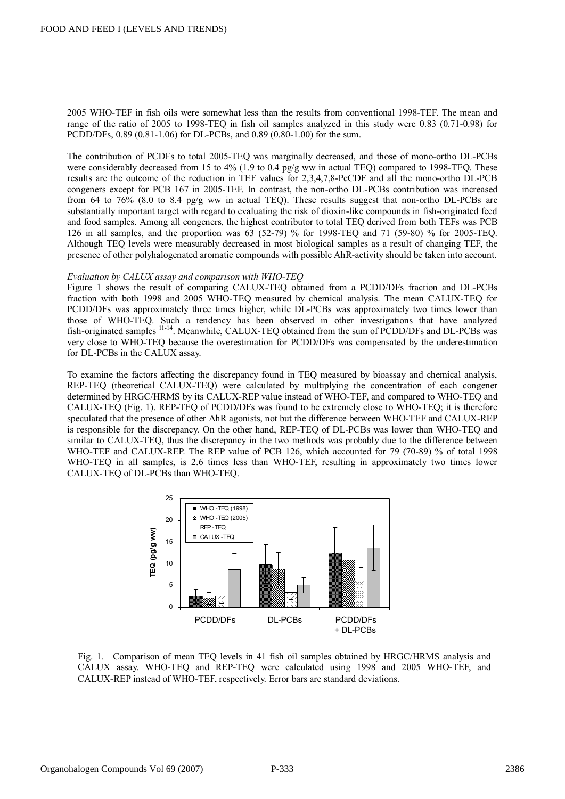2005 WHO-TEF in fish oils were somewhat less than the results from conventional 1998-TEF. The mean and range of the ratio of 2005 to 1998-TEQ in fish oil samples analyzed in this study were 0.83 (0.71-0.98) for PCDD/DFs, 0.89 (0.81-1.06) for DL-PCBs, and 0.89 (0.80-1.00) for the sum.

The contribution of PCDFs to total 2005-TEQ was marginally decreased, and those of mono-ortho DL-PCBs were considerably decreased from 15 to 4% (1.9 to 0.4  $pg/g$  ww in actual TEO) compared to 1998-TEO. These results are the outcome of the reduction in TEF values for 2,3,4,7,8-PeCDF and all the mono-ortho DL-PCB congeners except for PCB 167 in 2005-TEF. In contrast, the non-ortho DL-PCBs contribution was increased from 64 to 76% (8.0 to 8.4 pg/g ww in actual TEQ). These results suggest that non-ortho DL-PCBs are substantially important target with regard to evaluating the risk of dioxin-like compounds in fish-originated feed and food samples. Among all congeners, the highest contributor to total TEQ derived from both TEFs was PCB 126 in all samples, and the proportion was 63 (52-79) % for 1998-TEQ and 71 (59-80) % for 2005-TEQ. Although TEQ levels were measurably decreased in most biological samples as a result of changing TEF, the presence of other polyhalogenated aromatic compounds with possible AhR-activity should be taken into account.

### *Evaluation by CALUX assay and comparison with WHO-TEQ*

Figure 1 shows the result of comparing CALUX-TEQ obtained from a PCDD/DFs fraction and DL-PCBs fraction with both 1998 and 2005 WHO-TEQ measured by chemical analysis. The mean CALUX-TEQ for PCDD/DFs was approximately three times higher, while DL-PCBs was approximately two times lower than those of WHO-TEQ. Such a tendency has been observed in other investigations that have analyzed fish-originated samples <sup>11-14</sup>. Meanwhile, CALUX-TEQ obtained from the sum of PCDD/DFs and DL-PCBs was very close to WHO-TEQ because the overestimation for PCDD/DFs was compensated by the underestimation for DL-PCBs in the CALUX assay.

To examine the factors affecting the discrepancy found in TEQ measured by bioassay and chemical analysis, REP-TEQ (theoretical CALUX-TEQ) were calculated by multiplying the concentration of each congener determined by HRGC/HRMS by its CALUX-REP value instead of WHO-TEF, and compared to WHO-TEQ and CALUX-TEQ (Fig. 1). REP-TEQ of PCDD/DFs was found to be extremely close to WHO-TEQ; it is therefore speculated that the presence of other AhR agonists, not but the difference between WHO-TEF and CALUX-REP is responsible for the discrepancy. On the other hand, REP-TEQ of DL-PCBs was lower than WHO-TEQ and similar to CALUX-TEQ, thus the discrepancy in the two methods was probably due to the difference between WHO-TEF and CALUX-REP. The REP value of PCB 126, which accounted for 79 (70-89) % of total 1998 WHO-TEQ in all samples, is 2.6 times less than WHO-TEF, resulting in approximately two times lower CALUX-TEQ of DL-PCBs than WHO-TEQ.



Fig. 1. Comparison of mean TEQ levels in 41 fish oil samples obtained by HRGC/HRMS analysis and CALUX assay. WHO-TEQ and REP-TEQ were calculated using 1998 and 2005 WHO-TEF, and CALUX-REP instead of WHO-TEF, respectively. Error bars are standard deviations.